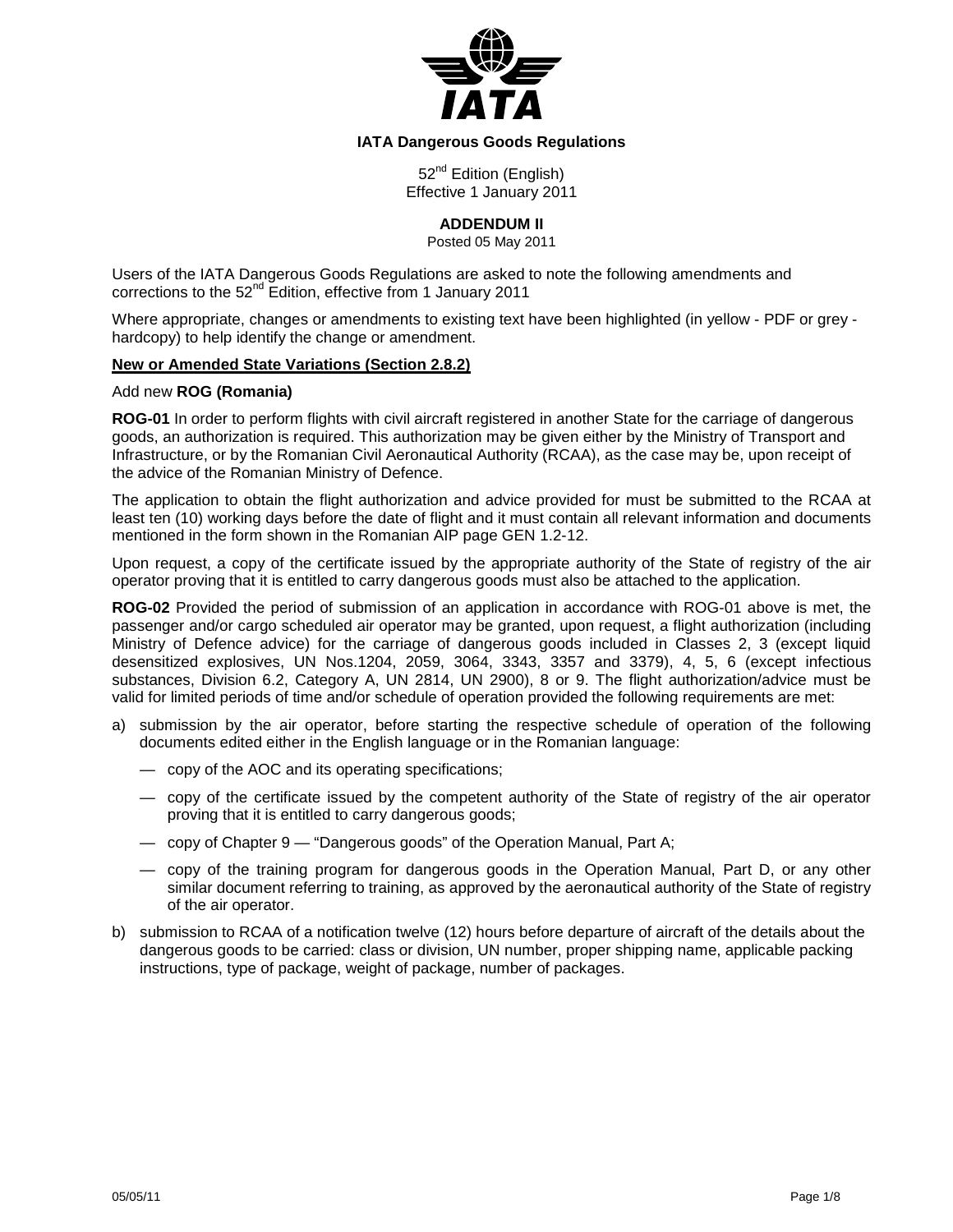

## **IATA Dangerous Goods Regulations**

52<sup>nd</sup> Edition (English) Effective 1 January 2011

**ADDENDUM II**

Posted 05 May 2011

Users of the IATA Dangerous Goods Regulations are asked to note the following amendments and corrections to the 52<sup>nd</sup> Edition, effective from 1 January 2011

Where appropriate, changes or amendments to existing text have been highlighted (in yellow - PDF or grey hardcopy) to help identify the change or amendment.

### **New or Amended State Variations (Section 2.8.2)**

### Add new **ROG (Romania)**

**ROG-01** In order to perform flights with civil aircraft registered in another State for the carriage of dangerous goods, an authorization is required. This authorization may be given either by the Ministry of Transport and Infrastructure, or by the Romanian Civil Aeronautical Authority (RCAA), as the case may be, upon receipt of the advice of the Romanian Ministry of Defence.

The application to obtain the flight authorization and advice provided for must be submitted to the RCAA at least ten (10) working days before the date of flight and it must contain all relevant information and documents mentioned in the form shown in the Romanian AIP page GEN 1.2-12.

Upon request, a copy of the certificate issued by the appropriate authority of the State of registry of the air operator proving that it is entitled to carry dangerous goods must also be attached to the application.

**ROG-02** Provided the period of submission of an application in accordance with ROG-01 above is met, the passenger and/or cargo scheduled air operator may be granted, upon request, a flight authorization (including Ministry of Defence advice) for the carriage of dangerous goods included in Classes 2, 3 (except liquid desensitized explosives, UN Nos.1204, 2059, 3064, 3343, 3357 and 3379), 4, 5, 6 (except infectious substances, Division 6.2, Category A, UN 2814, UN 2900), 8 or 9. The flight authorization/advice must be valid for limited periods of time and/or schedule of operation provided the following requirements are met:

- a) submission by the air operator, before starting the respective schedule of operation of the following documents edited either in the English language or in the Romanian language:
	- copy of the AOC and its operating specifications;
	- copy of the certificate issued by the competent authority of the State of registry of the air operator proving that it is entitled to carry dangerous goods;
	- copy of Chapter 9 "Dangerous goods" of the Operation Manual, Part A;
	- copy of the training program for dangerous goods in the Operation Manual, Part D, or any other similar document referring to training, as approved by the aeronautical authority of the State of registry of the air operator.
- b) submission to RCAA of a notification twelve (12) hours before departure of aircraft of the details about the dangerous goods to be carried: class or division, UN number, proper shipping name, applicable packing instructions, type of package, weight of package, number of packages.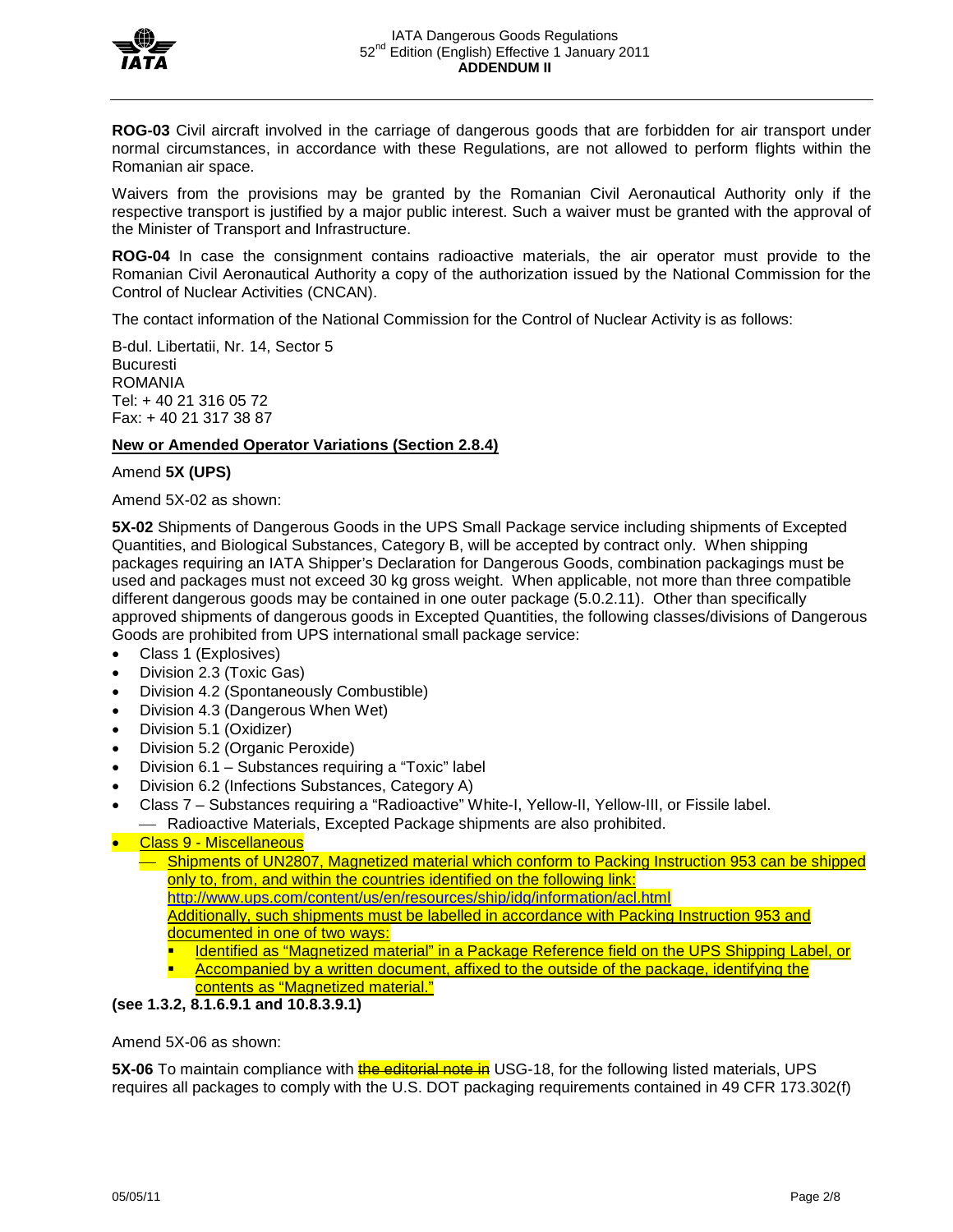

**ROG-03** Civil aircraft involved in the carriage of dangerous goods that are forbidden for air transport under normal circumstances, in accordance with these Regulations, are not allowed to perform flights within the Romanian air space.

Waivers from the provisions may be granted by the Romanian Civil Aeronautical Authority only if the respective transport is justified by a major public interest. Such a waiver must be granted with the approval of the Minister of Transport and Infrastructure.

**ROG-04** In case the consignment contains radioactive materials, the air operator must provide to the Romanian Civil Aeronautical Authority a copy of the authorization issued by the National Commission for the Control of Nuclear Activities (CNCAN).

The contact information of the National Commission for the Control of Nuclear Activity is as follows:

B-dul. Libertatii, Nr. 14, Sector 5 Bucuresti ROMANIA Tel: + 40 21 316 05 72 Fax: + 40 21 317 38 87

## **New or Amended Operator Variations (Section 2.8.4)**

### Amend **5X (UPS)**

Amend 5X-02 as shown:

**5X-02** Shipments of Dangerous Goods in the UPS Small Package service including shipments of Excepted Quantities, and Biological Substances, Category B, will be accepted by contract only. When shipping packages requiring an IATA Shipper's Declaration for Dangerous Goods, combination packagings must be used and packages must not exceed 30 kg gross weight. When applicable, not more than three compatible different dangerous goods may be contained in one outer package (5.0.2.11). Other than specifically approved shipments of dangerous goods in Excepted Quantities, the following classes/divisions of Dangerous Goods are prohibited from UPS international small package service:

- Class 1 (Explosives)
- Division 2.3 (Toxic Gas)
- Division 4.2 (Spontaneously Combustible)
- Division 4.3 (Dangerous When Wet)
- Division 5.1 (Oxidizer)
- Division 5.2 (Organic Peroxide)
- Division 6.1 Substances requiring a "Toxic" label
- Division 6.2 (Infections Substances, Category A)
- Class 7 Substances requiring a "Radioactive" White-I, Yellow-II, Yellow-III, or Fissile label. Radioactive Materials, Excepted Package shipments are also prohibited.

## • Class 9 - Miscellaneous

 Shipments of UN2807, Magnetized material which conform to Packing Instruction 953 can be shipped only to, from, and within the countries identified on the following link: <http://www.ups.com/content/us/en/resources/ship/idg/information/acl.html> Additionally, such shipments must be labelled in accordance with Packing Instruction 953 and documented in one of two ways: Identified as "Magnetized material" in a Package Reference field on the UPS Shipping Label, or

- Accompanied by a written document, affixed to the outside of the package, identifying the
- contents as "Magnetized material."

## **(see 1.3.2, 8.1.6.9.1 and 10.8.3.9.1)**

Amend 5X-06 as shown:

**5X-06** To maintain compliance with **the editorial note in** USG-18, for the following listed materials, UPS requires all packages to comply with the U.S. DOT packaging requirements contained in 49 CFR 173.302(f)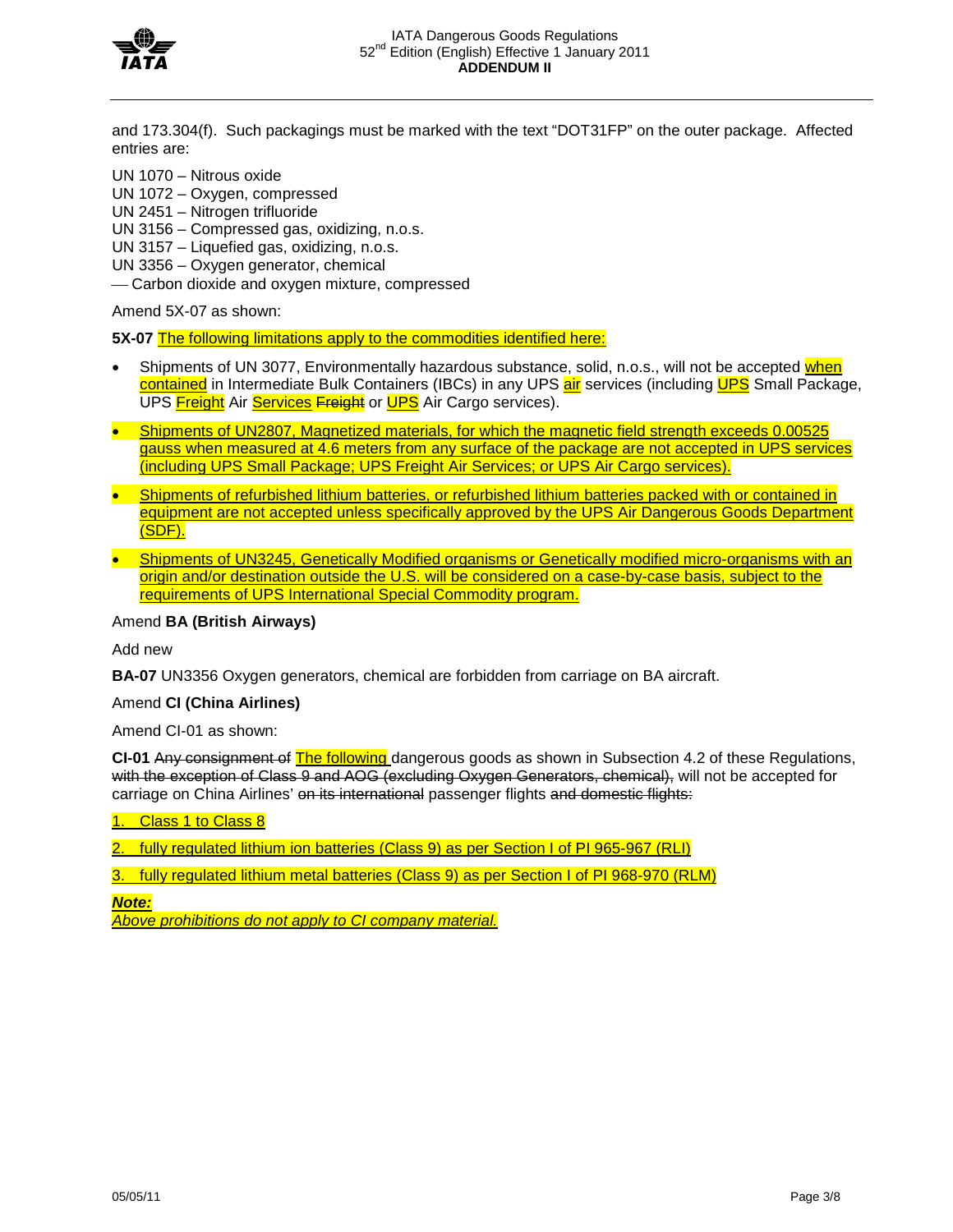

and 173.304(f). Such packagings must be marked with the text "DOT31FP" on the outer package. Affected entries are:

- UN 1070 Nitrous oxide
- UN 1072 Oxygen, compressed
- UN 2451 Nitrogen trifluoride

UN 3156 – Compressed gas, oxidizing, n.o.s.

- UN 3157 Liquefied gas, oxidizing, n.o.s.
- UN 3356 Oxygen generator, chemical
- Carbon dioxide and oxygen mixture, compressed

Amend 5X-07 as shown:

**5X-07** The following limitations apply to the commodities identified here:

- Shipments of UN 3077, Environmentally hazardous substance, solid, n.o.s., will not be accepted when contained in Intermediate Bulk Containers (IBCs) in any UPS air services (including UPS Small Package, UPS Freight Air Services Freight or UPS Air Cargo services).
- Shipments of UN2807, Magnetized materials, for which the magnetic field strength exceeds 0.00525 gauss when measured at 4.6 meters from any surface of the package are not accepted in UPS services (including UPS Small Package; UPS Freight Air Services; or UPS Air Cargo services).
- Shipments of refurbished lithium batteries, or refurbished lithium batteries packed with or contained in equipment are not accepted unless specifically approved by the UPS Air Dangerous Goods Department (SDF).
- Shipments of UN3245, Genetically Modified organisms or Genetically modified micro-organisms with an origin and/or destination outside the U.S. will be considered on a case-by-case basis, subject to the requirements of UPS International Special Commodity program.

### Amend **BA (British Airways)**

Add new

**BA-07** UN3356 Oxygen generators, chemical are forbidden from carriage on BA aircraft.

### Amend **CI (China Airlines)**

Amend CI-01 as shown:

**CI-01** Any consignment of The following dangerous goods as shown in Subsection 4.2 of these Regulations, with the exception of Class 9 and AOG (excluding Oxygen Generators, chemical), will not be accepted for carriage on China Airlines' on its international passenger flights and domestic flights:

Class 1 to Class 8

2. fully regulated lithium ion batteries (Class 9) as per Section I of PI 965-967 (RLI)

3. fully regulated lithium metal batteries (Class 9) as per Section I of PI 968-970 (RLM)

*Note:*

*Above prohibitions do not apply to CI company material.*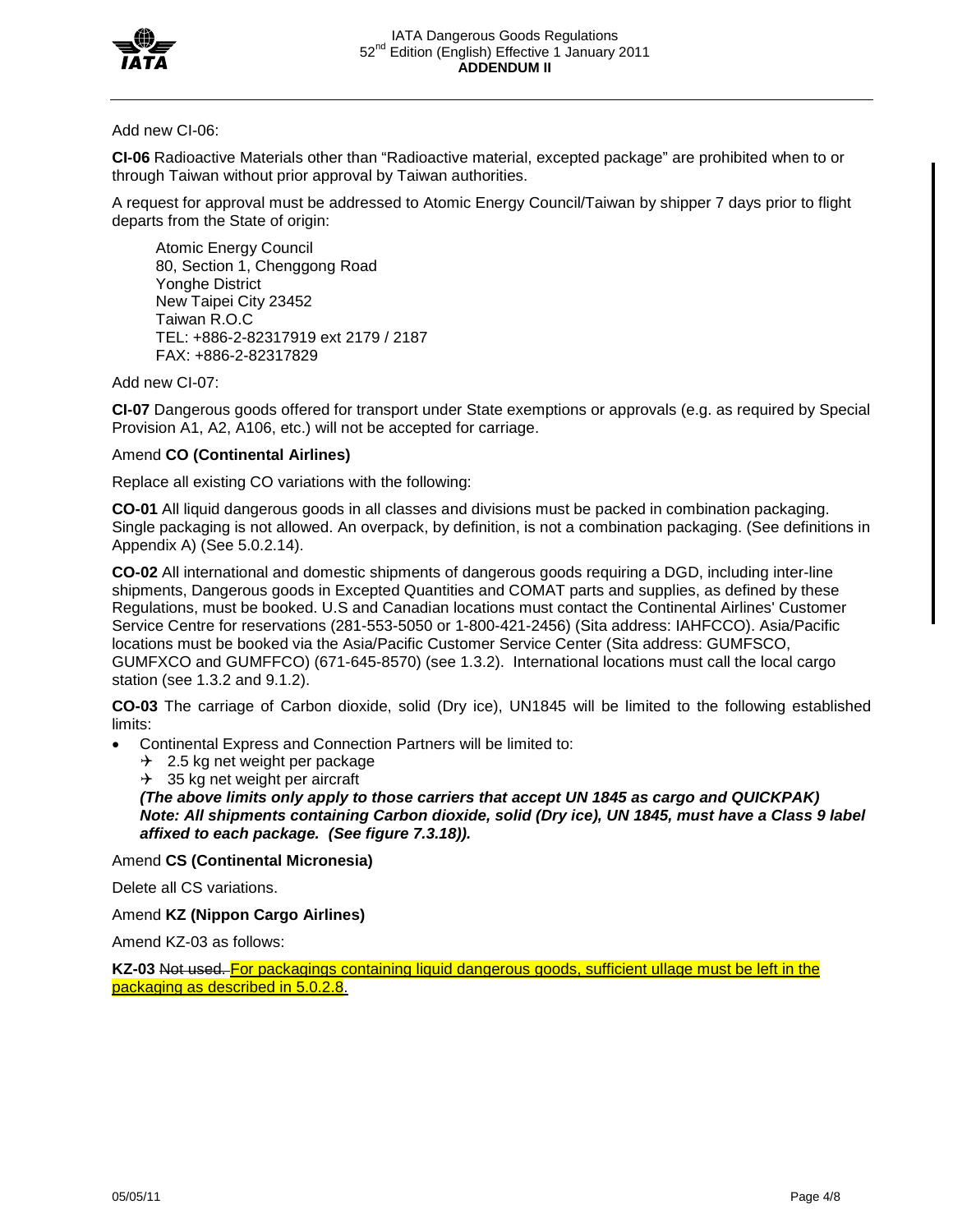

## Add new CI-06:

**CI-06** Radioactive Materials other than "Radioactive material, excepted package" are prohibited when to or through Taiwan without prior approval by Taiwan authorities.

A request for approval must be addressed to Atomic Energy Council/Taiwan by shipper 7 days prior to flight departs from the State of origin:

Atomic Energy Council 80, Section 1, Chenggong Road Yonghe District New Taipei City 23452 Taiwan R.O.C TEL: +886-2-82317919 ext 2179 / 2187 FAX: +886-2-82317829

Add new CI-07:

**CI-07** Dangerous goods offered for transport under State exemptions or approvals (e.g. as required by Special Provision A1, A2, A106, etc.) will not be accepted for carriage.

## Amend **CO (Continental Airlines)**

Replace all existing CO variations with the following:

**CO-01** All liquid dangerous goods in all classes and divisions must be packed in combination packaging. Single packaging is not allowed. An overpack, by definition, is not a combination packaging. (See definitions in Appendix A) (See 5.0.2.14).

**CO-02** All international and domestic shipments of dangerous goods requiring a DGD, including inter-line shipments, Dangerous goods in Excepted Quantities and COMAT parts and supplies, as defined by these Regulations, must be booked. U.S and Canadian locations must contact the Continental Airlines' Customer Service Centre for reservations (281-553-5050 or 1-800-421-2456) (Sita address: IAHFCCO). Asia/Pacific locations must be booked via the Asia/Pacific Customer Service Center (Sita address: GUMFSCO, GUMFXCO and GUMFFCO) (671-645-8570) (see 1.3.2). International locations must call the local cargo station (see 1.3.2 and 9.1.2).

**CO-03** The carriage of Carbon dioxide, solid (Dry ice), UN1845 will be limited to the following established limits:

• Continental Express and Connection Partners will be limited to:

 $\div$  2.5 kg net weight per package

 $\rightarrow$  35 kg net weight per aircraft

*(The above limits only apply to those carriers that accept UN 1845 as cargo and QUICKPAK) Note: All shipments containing Carbon dioxide, solid (Dry ice), UN 1845, must have a Class 9 label affixed to each package. (See figure 7.3.18)).*

Amend **CS (Continental Micronesia)**

Delete all CS variations.

Amend **KZ (Nippon Cargo Airlines)**

Amend KZ-03 as follows:

**KZ-03** Not used. For packagings containing liquid dangerous goods, sufficient ullage must be left in the packaging as described in 5.0.2.8.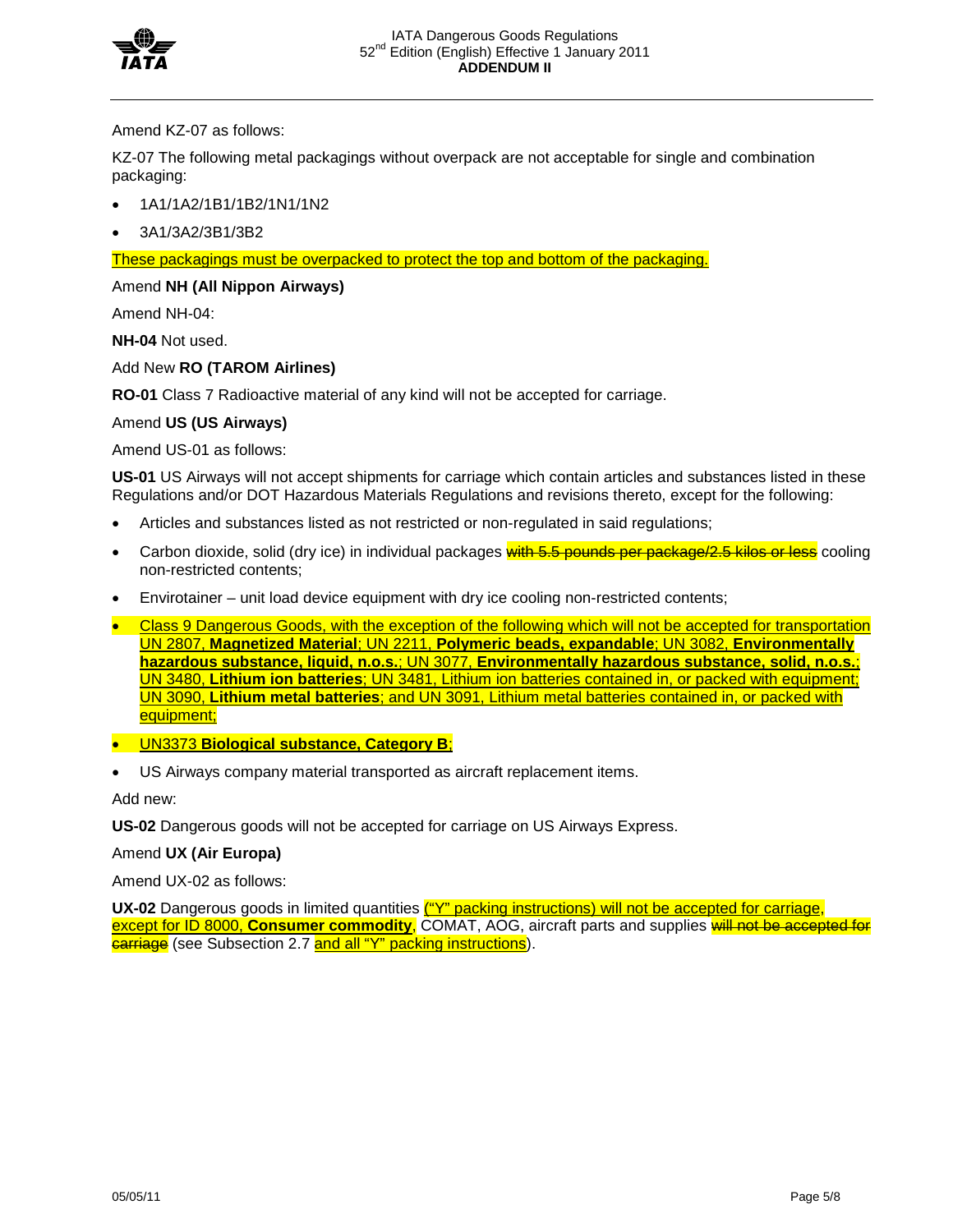

Amend KZ-07 as follows:

KZ-07 The following metal packagings without overpack are not acceptable for single and combination packaging:

- 1A1/1A2/1B1/1B2/1N1/1N2
- 3A1/3A2/3B1/3B2

## These packagings must be overpacked to protect the top and bottom of the packaging.

## Amend **NH (All Nippon Airways)**

Amend NH-04:

**NH-04** Not used.

Add New **RO (TAROM Airlines)**

**RO-01** Class 7 Radioactive material of any kind will not be accepted for carriage.

## Amend **US (US Airways)**

Amend US-01 as follows:

**US-01** US Airways will not accept shipments for carriage which contain articles and substances listed in these Regulations and/or DOT Hazardous Materials Regulations and revisions thereto, except for the following:

- Articles and substances listed as not restricted or non-regulated in said regulations;
- Carbon dioxide, solid (dry ice) in individual packages with 5.5 pounds per package/2.5 kilos or less cooling non-restricted contents;
- Envirotainer unit load device equipment with dry ice cooling non-restricted contents;
- Class 9 Dangerous Goods, with the exception of the following which will not be accepted for transportation UN 2807, **Magnetized Material**; UN 2211, **Polymeric beads, expandable**; UN 3082, **Environmentally hazardous substance, liquid, n.o.s.**; UN 3077, **Environmentally hazardous substance, solid, n.o.s.**; UN 3480, **Lithium ion batteries**; UN 3481, Lithium ion batteries contained in, or packed with equipment; UN 3090, **Lithium metal batteries**; and UN 3091, Lithium metal batteries contained in, or packed with equipment;
- UN3373 **Biological substance, Category B**;
- US Airways company material transported as aircraft replacement items.

Add new:

**US-02** Dangerous goods will not be accepted for carriage on US Airways Express.

# Amend **UX (Air Europa)**

Amend UX-02 as follows:

UX-02 Dangerous goods in limited quantities ("Y" packing instructions) will not be accepted for carriage, except for ID 8000, **Consumer commodity**, COMAT, AOG, aircraft parts and supplies will not be accepted for carriage (see Subsection 2.7 and all "Y" packing instructions).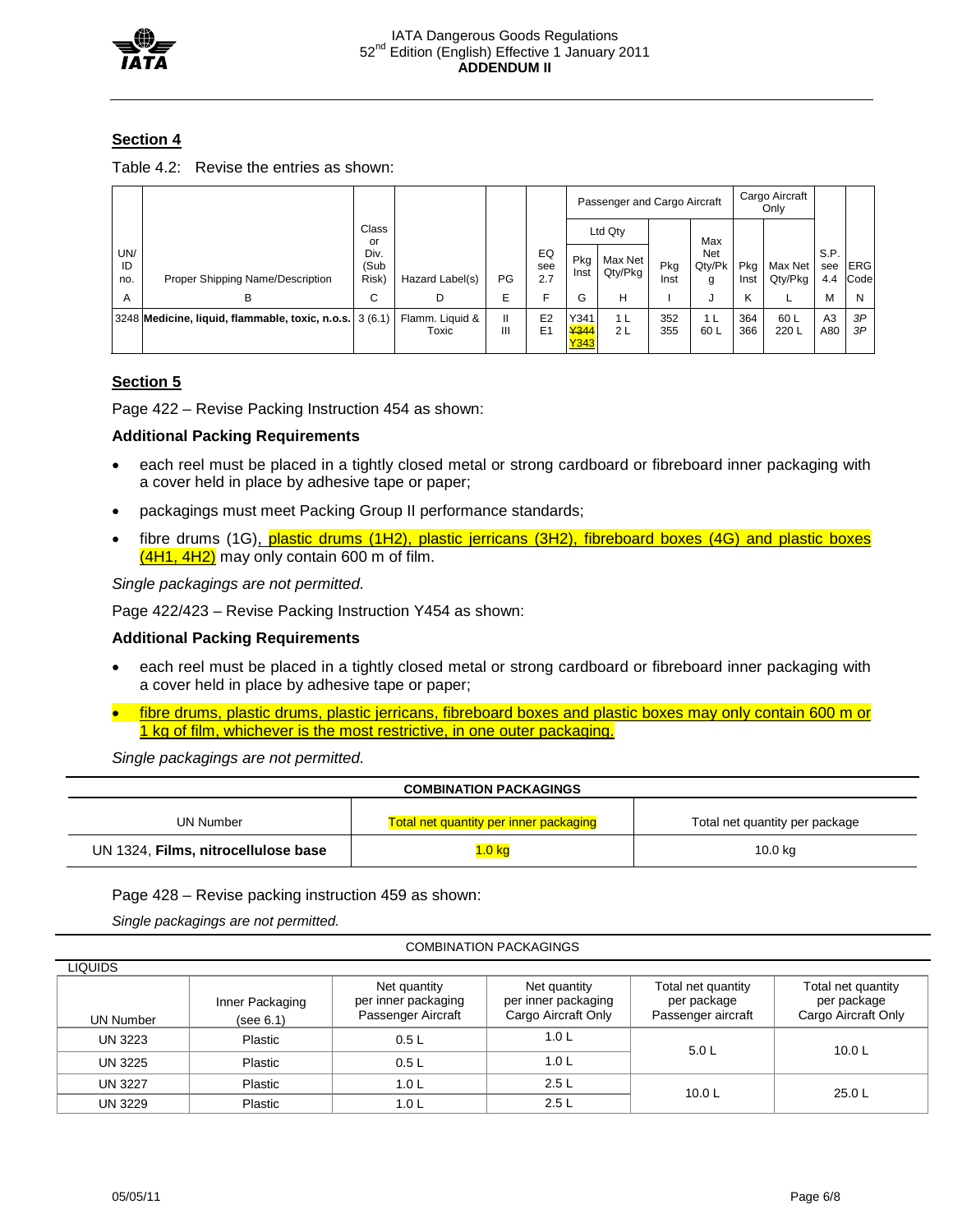

# **Section 4**

| Table 4.2: Revise the entries as shown: |  |
|-----------------------------------------|--|
|                                         |  |

|                  |                                                         |                       |                          |        |                                  | Passenger and Cargo Aircraft |                      |             |                        | Cargo Aircraft<br>Only |                    |                    |                    |
|------------------|---------------------------------------------------------|-----------------------|--------------------------|--------|----------------------------------|------------------------------|----------------------|-------------|------------------------|------------------------|--------------------|--------------------|--------------------|
|                  |                                                         | Class<br>or           |                          |        |                                  | Ltd Qty                      |                      | Max         |                        |                        |                    |                    |                    |
| UN/<br>ID<br>no. | Proper Shipping Name/Description                        | Div.<br>(Sub<br>Risk) | Hazard Label(s)          | PG     | EQ<br>see<br>2.7                 | Pkg<br>Inst                  | Max Net<br>Qty/Pkg   | Pkg<br>Inst | Net<br>Qty/Pk<br>g     | Pkg<br>Inst            | Max Net<br>Qty/Pkg | S.P.<br>see<br>4.4 | <b>ERG</b><br>Code |
| A                | в                                                       | С                     | D                        | E      | F                                | G                            | н                    |             | J                      | Κ                      |                    | м                  | N                  |
|                  | 3248 Medicine, liquid, flammable, toxic, n.o.s. 3 (6.1) |                       | Flamm. Liquid &<br>Toxic | Ш<br>Ш | E <sub>2</sub><br>E <sub>1</sub> | Y341<br>¥344<br>Y343         | 1 <sub>L</sub><br>2L | 352<br>355  | 1 <sub>L</sub><br>60 L | 364<br>366             | 60 L<br>220 L      | A3<br>A80          | 3P<br>ЗP           |

# **Section 5**

Page 422 – Revise Packing Instruction 454 as shown:

## **Additional Packing Requirements**

- each reel must be placed in a tightly closed metal or strong cardboard or fibreboard inner packaging with a cover held in place by adhesive tape or paper;
- packagings must meet Packing Group II performance standards;
- fibre drums (1G), plastic drums (1H2), plastic jerricans (3H2), fibreboard boxes (4G) and plastic boxes  $(4H1, 4H2)$  may only contain 600 m of film.

*Single packagings are not permitted.*

Page 422/423 – Revise Packing Instruction Y454 as shown:

## **Additional Packing Requirements**

- each reel must be placed in a tightly closed metal or strong cardboard or fibreboard inner packaging with a cover held in place by adhesive tape or paper;
- fibre drums, plastic drums, plastic jerricans, fibreboard boxes and plastic boxes may only contain 600 m or 1 kg of film, whichever is the most restrictive, in one outer packaging.

*Single packagings are not permitted.*

| <b>COMBINATION PACKAGINGS</b>       |                                               |                                |  |  |  |  |  |
|-------------------------------------|-----------------------------------------------|--------------------------------|--|--|--|--|--|
| UN Number                           | <b>Total net quantity per inner packaging</b> | Total net quantity per package |  |  |  |  |  |
| UN 1324, Films, nitrocellulose base | .0 <sub>kg</sub>                              | 10.0 kg                        |  |  |  |  |  |

Page 428 – Revise packing instruction 459 as shown:

*Single packagings are not permitted.*

#### COMBINATION PACKAGINGS

| LIQUIDS          |                              |                                                           |                                                            |                                                         |                                                          |  |
|------------------|------------------------------|-----------------------------------------------------------|------------------------------------------------------------|---------------------------------------------------------|----------------------------------------------------------|--|
| <b>UN Number</b> | Inner Packaging<br>(see 6.1) | Net quantity<br>per inner packaging<br>Passenger Aircraft | Net quantity<br>per inner packaging<br>Cargo Aircraft Only | Total net quantity<br>per package<br>Passenger aircraft | Total net quantity<br>per package<br>Cargo Aircraft Only |  |
| UN 3223          | Plastic                      |                                                           | 1.0 <sub>L</sub>                                           | 5.0 L                                                   | 10.0 L                                                   |  |
| UN 3225          | Plastic                      | 0.5L                                                      | 1.0 <sub>L</sub>                                           |                                                         |                                                          |  |
| <b>UN 3227</b>   | Plastic                      | 1.0 L                                                     | 2.5L                                                       | 10.0 L                                                  | 25.0 L                                                   |  |
| <b>UN 3229</b>   | Plastic                      | 1.0 L                                                     | 2.5L                                                       |                                                         |                                                          |  |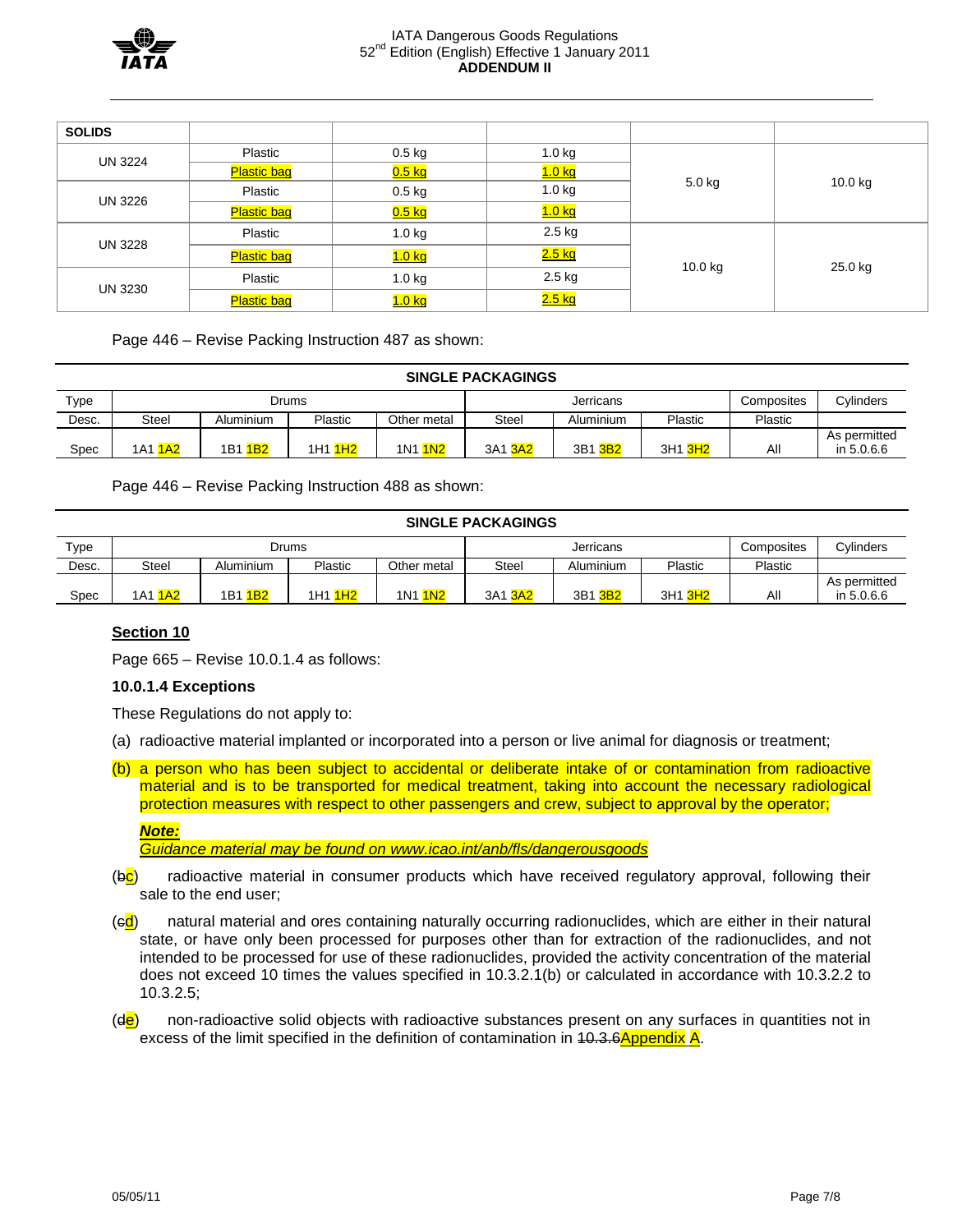

#### IATA Dangerous Goods Regulations 52<sup>nd</sup> Edition (English) Effective 1 January 2011 **ADDENDUM II**

| <b>SOLIDS</b> |                    |                     |               |          |         |  |
|---------------|--------------------|---------------------|---------------|----------|---------|--|
| UN 3224       | Plastic            | $0.5$ kg            | $1.0$ kg      |          | 10.0 kg |  |
|               | <b>Plastic bag</b> | <mark>0.5 kg</mark> | <u>1.0 kg</u> |          |         |  |
| UN 3226       | Plastic            | $0.5$ kg            | 1.0 kg        | $5.0$ kg |         |  |
|               | <b>Plastic bag</b> | <mark>0.5 kg</mark> | <u>1.0 kg</u> |          |         |  |
|               | Plastic            | 1.0 kg              | 2.5 kg        |          |         |  |
| UN 3228       | <b>Plastic bag</b> | <u>1.0 kg</u>       | <u>2.5 kg</u> |          |         |  |
| UN 3230       | Plastic            | 1.0 kg              | 2.5 kg        | 10.0 kg  | 25.0 kg |  |
|               | <b>Plastic bag</b> | <u>1.0 kg</u>       | 2.5 kg        |          |         |  |

Page 446 – Revise Packing Instruction 487 as shown:

#### **SINGLE PACKAGINGS**

| Type  | Drums      |                                     |                        |                        | Jerricans                                   |                        |         | Composites | Cvlinders                  |
|-------|------------|-------------------------------------|------------------------|------------------------|---------------------------------------------|------------------------|---------|------------|----------------------------|
| Desc. | Steel      | Aluminium                           | Plastic                | Other metal            | <b>Plastic</b><br><b>Steel</b><br>Aluminium |                        | Plastic |            |                            |
| Spec  | 1A2<br>1A1 | 1B <sub>2</sub><br>1 <sub>B</sub> 1 | 1H <sub>2</sub><br>1H1 | 1N <sub>2</sub><br>1N1 | 3A1<br>3A2                                  | 3B1<br>3B <sub>2</sub> | 3H1 3H2 | ΑIΙ        | As permitted<br>in 5.0.6.6 |

Page 446 – Revise Packing Instruction 488 as shown:

#### **SINGLE PACKAGINGS**

| Type  |            |                        | Drums                  |                               | Jerricans                     |            |         | Composites | Cylinders    |  |  |
|-------|------------|------------------------|------------------------|-------------------------------|-------------------------------|------------|---------|------------|--------------|--|--|
| Desc. | Steel      | Aluminium              | Plastic                | Other metal                   | Plastic<br>Steel<br>Aluminium |            | Plastic |            |              |  |  |
|       |            |                        |                        |                               |                               |            |         |            | As permitted |  |  |
| Spec  | 1A2<br>1A1 | 1B <sub>2</sub><br>1B1 | 1H <sub>2</sub><br>1H1 | 1N <sub>2</sub><br><b>1N1</b> | 3A1<br>$\overline{3A2}$       | 3B1<br>3B2 | 3H1 3H2 | Αll        | in 5.0.6.6   |  |  |

### **Section 10**

Page 665 – Revise 10.0.1.4 as follows:

### **10.0.1.4 Exceptions**

These Regulations do not apply to:

- (a) radioactive material implanted or incorporated into a person or live animal for diagnosis or treatment;
- (b) a person who has been subject to accidental or deliberate intake of or contamination from radioactive material and is to be transported for medical treatment, taking into account the necessary radiological protection measures with respect to other passengers and crew, subject to approval by the operator;

*Guidance material may be found on www.icao.int/anb/fls/dangerousgoods*

- (b<sup>c</sup>) radioactive material in consumer products which have received regulatory approval, following their sale to the end user;
- (ed) natural material and ores containing naturally occurring radionuclides, which are either in their natural state, or have only been processed for purposes other than for extraction of the radionuclides, and not intended to be processed for use of these radionuclides, provided the activity concentration of the material does not exceed 10 times the values specified in 10.3.2.1(b) or calculated in accordance with 10.3.2.2 to 10.3.2.5;
- $(d\mathbf{e})$  non-radioactive solid objects with radioactive substances present on any surfaces in quantities not in excess of the limit specified in the definition of contamination in 40.3.6Appendix A.

*Note:*